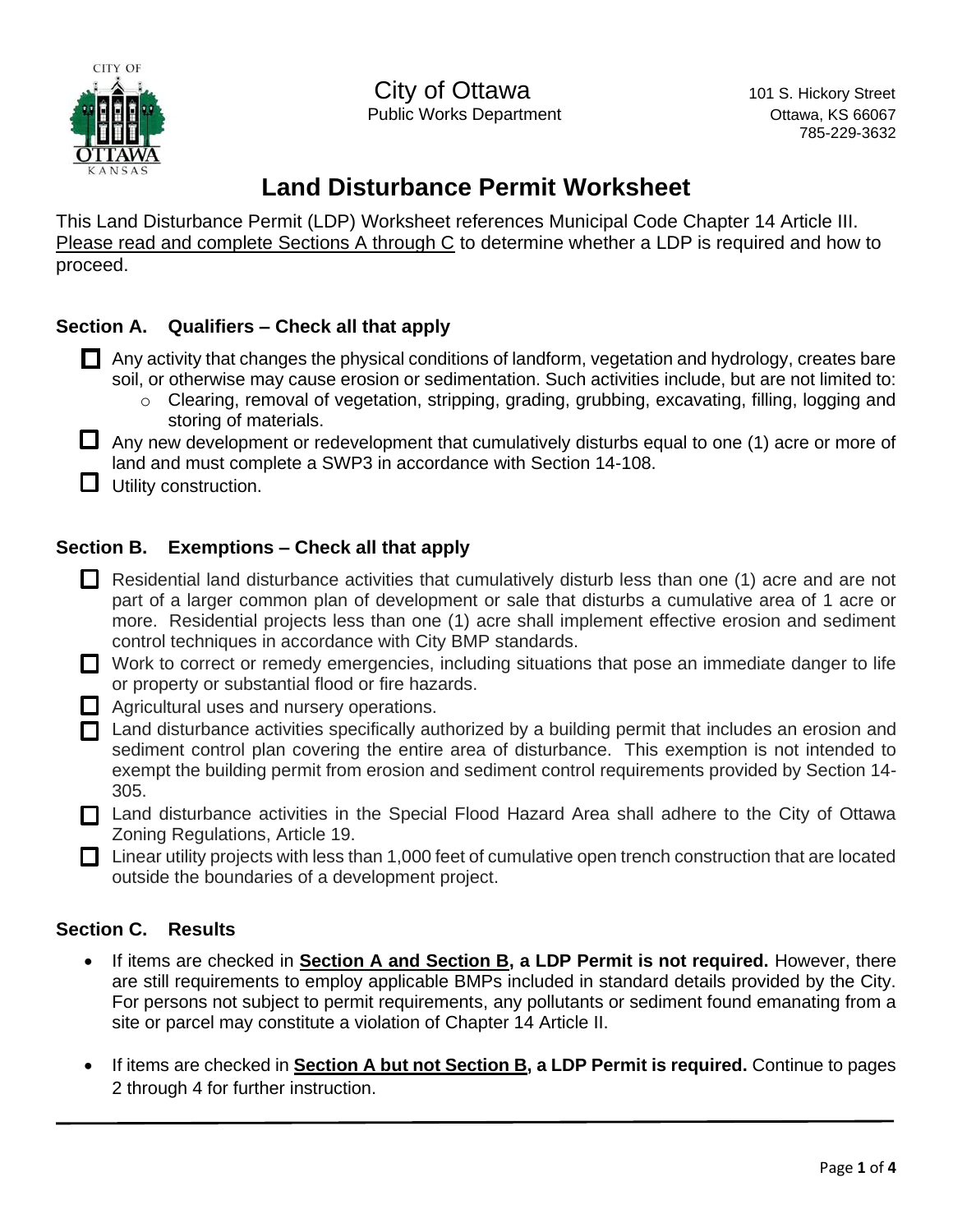

City of Ottawa 101 S. Hickory Street Public Works Department **National Community Community** Ottawa, KS 66067

785-229-3632

# **Land Disturbance Permit Worksheet**

This Land Disturbance Permit (LDP) Worksheet references Municipal Code Chapter 14 Article III. Please read and complete Sections A through C to determine whether a LDP is required and how to proceed.

# **Section A. Qualifiers – Check all that apply**

- $\Box$  Any activity that changes the physical conditions of landform, vegetation and hydrology, creates bare soil, or otherwise may cause erosion or sedimentation. Such activities include, but are not limited to:
	- $\circ$  Clearing, removal of vegetation, stripping, grading, grubbing, excavating, filling, logging and storing of materials.
- $\Box$  Any new development or redevelopment that cumulatively disturbs equal to one (1) acre or more of land and must complete a SWP3 in accordance with Section 14-108.
- $\Box$  Utility construction.

# **Section B. Exemptions – Check all that apply**

- Residential land disturbance activities that cumulatively disturb less than one (1) acre and are not part of a larger common plan of development or sale that disturbs a cumulative area of 1 acre or more. Residential projects less than one (1) acre shall implement effective erosion and sediment control techniques in accordance with City BMP standards.
- Work to correct or remedy emergencies, including situations that pose an immediate danger to life or property or substantial flood or fire hazards.
- Agricultural uses and nursery operations.
- $\Box$  Land disturbance activities specifically authorized by a building permit that includes an erosion and sediment control plan covering the entire area of disturbance. This exemption is not intended to exempt the building permit from erosion and sediment control requirements provided by Section 14- 305.
- □ Land disturbance activities in the Special Flood Hazard Area shall adhere to the City of Ottawa Zoning Regulations, Article 19.
- $\Box$  Linear utility projects with less than 1,000 feet of cumulative open trench construction that are located outside the boundaries of a development project.

### **Section C. Results**

- If items are checked in **Section A and Section B, a LDP Permit is not required.** However, there are still requirements to employ applicable BMPs included in standard details provided by the City. For persons not subject to permit requirements, any pollutants or sediment found emanating from a site or parcel may constitute a violation of Chapter 14 Article II.
- If items are checked in **Section A but not Section B, a LDP Permit is required.** Continue to pages 2 through 4 for further instruction.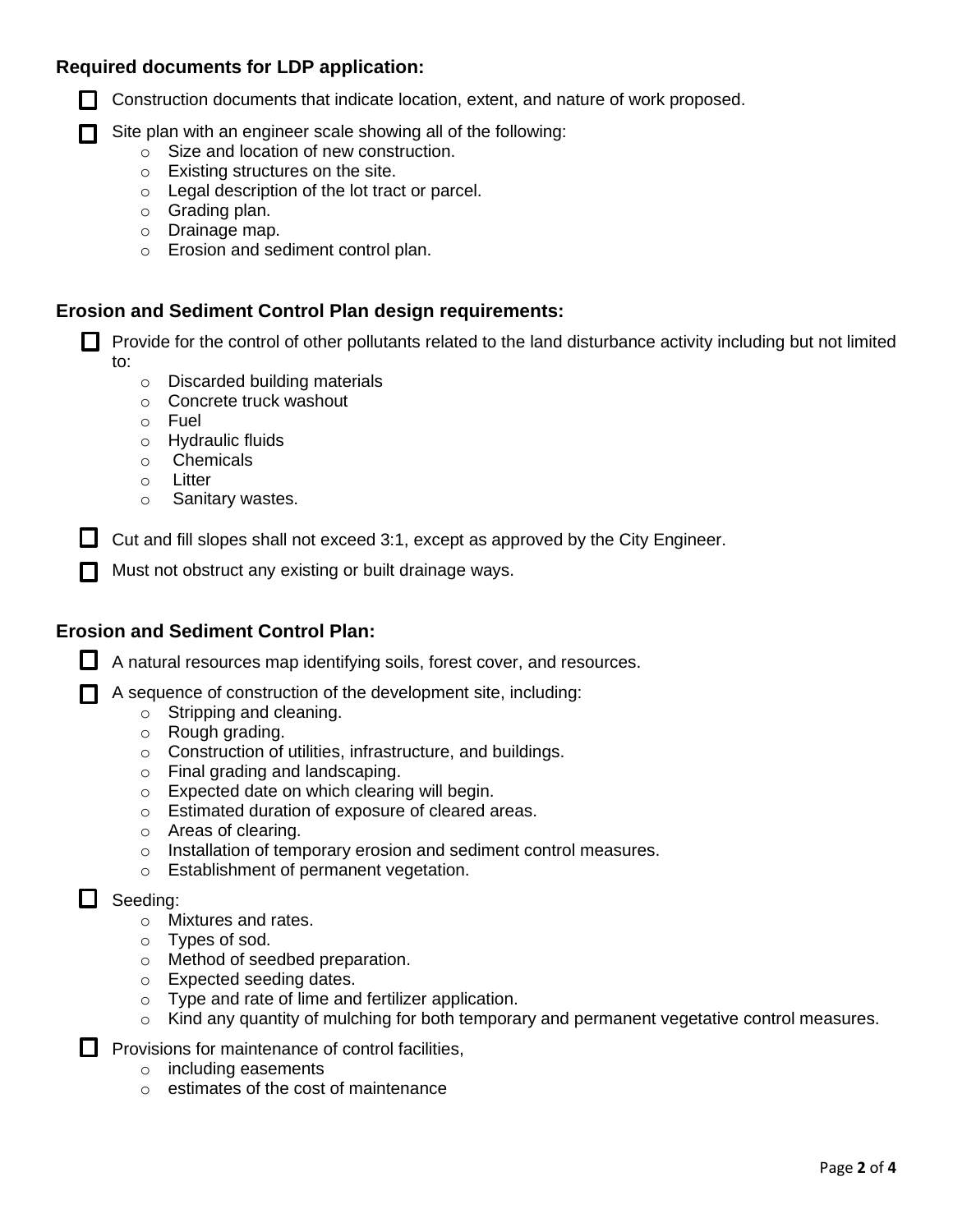#### **Required documents for LDP application:**



**T** Construction documents that indicate location, extent, and nature of work proposed.

 $\Box$  Site plan with an engineer scale showing all of the following:

- o Size and location of new construction.
- o Existing structures on the site.
- o Legal description of the lot tract or parcel.
- o Grading plan.
- o Drainage map.
- o Erosion and sediment control plan.

#### **Erosion and Sediment Control Plan design requirements:**

 $\Box$  Provide for the control of other pollutants related to the land disturbance activity including but not limited to:

- o Discarded building materials
- o Concrete truck washout
- o Fuel
- o Hydraulic fluids
- o Chemicals
- o Litter
- o Sanitary wastes.

 $\Box$  Cut and fill slopes shall not exceed 3:1, except as approved by the City Engineer.

 $\Box$  Must not obstruct any existing or built drainage ways.

#### **Erosion and Sediment Control Plan:**

 $\Box$  A natural resources map identifying soils, forest cover, and resources.

 $\Box$  A sequence of construction of the development site, including:

- o Stripping and cleaning.
- o Rough grading.
- o Construction of utilities, infrastructure, and buildings.
- o Final grading and landscaping.
- o Expected date on which clearing will begin.
- o Estimated duration of exposure of cleared areas.
- o Areas of clearing.
- o Installation of temporary erosion and sediment control measures.
- o Establishment of permanent vegetation.

#### $\Box$  Seeding:

- o Mixtures and rates.
- o Types of sod.
- o Method of seedbed preparation.
- o Expected seeding dates.
- o Type and rate of lime and fertilizer application.
- o Kind any quantity of mulching for both temporary and permanent vegetative control measures.

 $\Box$  Provisions for maintenance of control facilities,

- o including easements
- o estimates of the cost of maintenance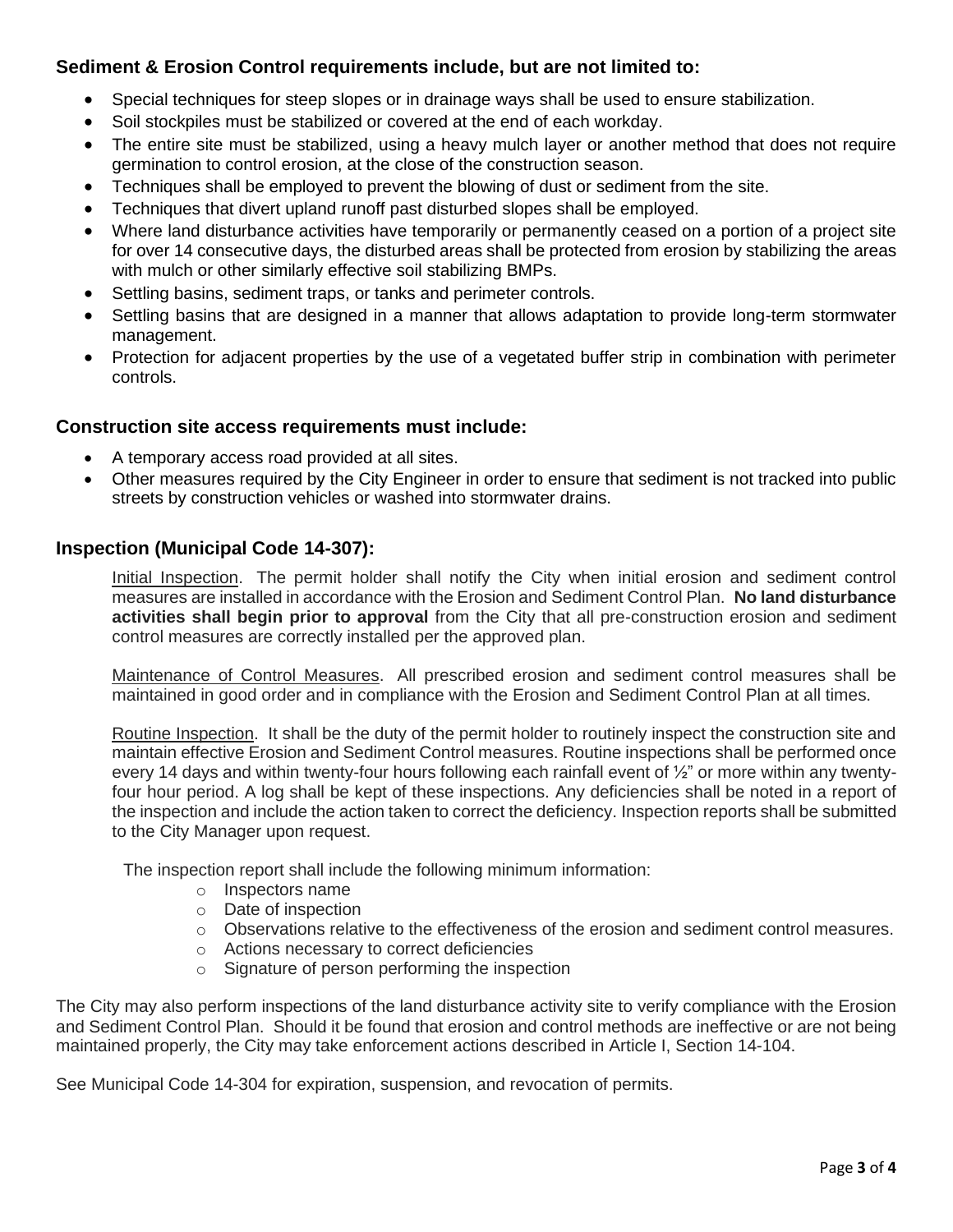## **Sediment & Erosion Control requirements include, but are not limited to:**

- Special techniques for steep slopes or in drainage ways shall be used to ensure stabilization.
- Soil stockpiles must be stabilized or covered at the end of each workday.
- The entire site must be stabilized, using a heavy mulch layer or another method that does not require germination to control erosion, at the close of the construction season.
- Techniques shall be employed to prevent the blowing of dust or sediment from the site.
- Techniques that divert upland runoff past disturbed slopes shall be employed.
- Where land disturbance activities have temporarily or permanently ceased on a portion of a project site for over 14 consecutive days, the disturbed areas shall be protected from erosion by stabilizing the areas with mulch or other similarly effective soil stabilizing BMPs.
- Settling basins, sediment traps, or tanks and perimeter controls.
- Settling basins that are designed in a manner that allows adaptation to provide long-term stormwater management.
- Protection for adjacent properties by the use of a vegetated buffer strip in combination with perimeter controls.

## **Construction site access requirements must include:**

- A temporary access road provided at all sites.
- Other measures required by the City Engineer in order to ensure that sediment is not tracked into public streets by construction vehicles or washed into stormwater drains.

#### **Inspection (Municipal Code 14-307):**

Initial Inspection. The permit holder shall notify the City when initial erosion and sediment control measures are installed in accordance with the Erosion and Sediment Control Plan. **No land disturbance activities shall begin prior to approval** from the City that all pre-construction erosion and sediment control measures are correctly installed per the approved plan.

Maintenance of Control Measures. All prescribed erosion and sediment control measures shall be maintained in good order and in compliance with the Erosion and Sediment Control Plan at all times.

Routine Inspection. It shall be the duty of the permit holder to routinely inspect the construction site and maintain effective Erosion and Sediment Control measures. Routine inspections shall be performed once every 14 days and within twenty-four hours following each rainfall event of  $\frac{1}{2}$ " or more within any twentyfour hour period. A log shall be kept of these inspections. Any deficiencies shall be noted in a report of the inspection and include the action taken to correct the deficiency. Inspection reports shall be submitted to the City Manager upon request.

The inspection report shall include the following minimum information:

- o Inspectors name
- o Date of inspection
- $\circ$  Observations relative to the effectiveness of the erosion and sediment control measures.
- o Actions necessary to correct deficiencies
- o Signature of person performing the inspection

The City may also perform inspections of the land disturbance activity site to verify compliance with the Erosion and Sediment Control Plan. Should it be found that erosion and control methods are ineffective or are not being maintained properly, the City may take enforcement actions described in Article I, Section 14-104.

See Municipal Code 14-304 for expiration, suspension, and revocation of permits.